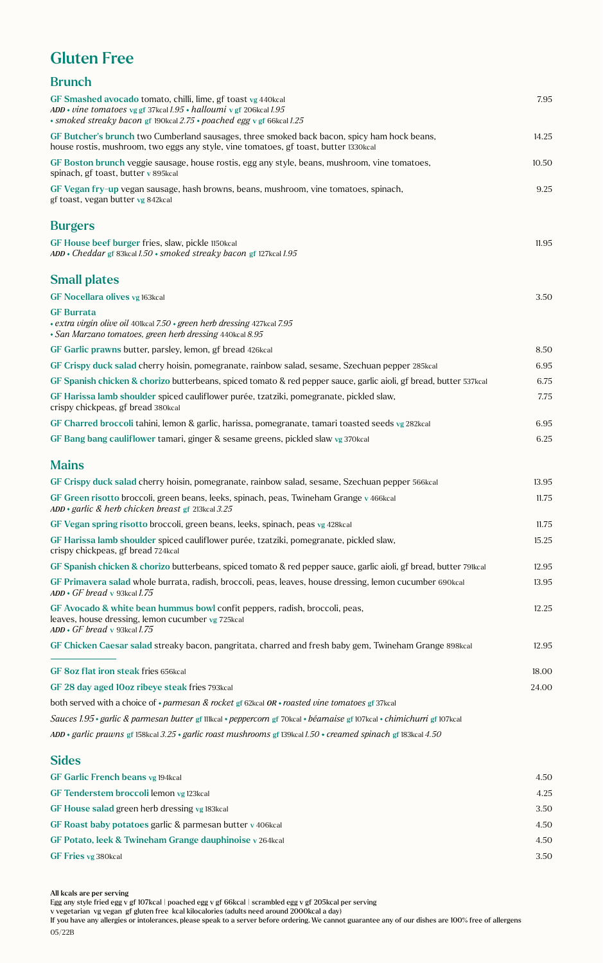## Gluten Free

| <b>Brunch</b>                                                                                                                                                                                                   |       |
|-----------------------------------------------------------------------------------------------------------------------------------------------------------------------------------------------------------------|-------|
| GF Smashed avocado tomato, chilli, lime, gf toast vg 440kcal<br>ADD • vine tomatoes vg gf 37kcal $1.95$ • halloumi v gf 206kcal $1.95$<br>* smoked streaky bacon gf 190kcal 2.75 * poached egg v gf 66kcal 1.25 | 7.95  |
| GF Butcher's brunch two Cumberland sausages, three smoked back bacon, spicy ham hock beans,<br>house rostis, mushroom, two eggs any style, vine tomatoes, gf toast, butter 1330kcal                             | 14.25 |
| GF Boston brunch veggie sausage, house rostis, egg any style, beans, mushroom, vine tomatoes,<br>spinach, gf toast, butter v 895kcal                                                                            | 10.50 |
| GF Vegan fry-up vegan sausage, hash browns, beans, mushroom, vine tomatoes, spinach,<br>gf toast, vegan butter vg 842kcal                                                                                       | 9.25  |
| <b>Burgers</b>                                                                                                                                                                                                  |       |
| GF House beef burger fries, slaw, pickle 1150kcal<br>$ADD * Cheddar$ gf 83kcal 1.50 $\cdot$ smoked streaky bacon gf 127kcal 1.95                                                                                | 11.95 |
| <b>Small plates</b>                                                                                                                                                                                             |       |
| GF Nocellara olives vg 163kcal                                                                                                                                                                                  | 3.50  |
| <b>GF</b> Burrata<br>• extra virgin olive oil 401kcal 7.50 • green herb dressing 427kcal 7.95<br>• San Marzano tomatoes, green herb dressing 440kcal 8.95                                                       |       |
| GF Garlic prawns butter, parsley, lemon, gf bread 426kcal                                                                                                                                                       | 8.50  |
| GF Crispy duck salad cherry hoisin, pomegranate, rainbow salad, sesame, Szechuan pepper 285 kcal                                                                                                                | 6.95  |
| GF Spanish chicken & chorizo butterbeans, spiced tomato & red pepper sauce, garlic aioli, gf bread, butter 537kcal                                                                                              | 6.75  |
| GF Harissa lamb shoulder spiced cauliflower purée, tzatziki, pomegranate, pickled slaw,<br>crispy chickpeas, gf bread 380kcal                                                                                   | 7.75  |
| GF Charred broccoli tahini, lemon & garlic, harissa, pomegranate, tamari toasted seeds vg 282kcal                                                                                                               | 6.95  |
| GF Bang bang cauliflower tamari, ginger & sesame greens, pickled slaw vg 370kcal                                                                                                                                | 6.25  |
| <b>Mains</b>                                                                                                                                                                                                    |       |
| GF Crispy duck salad cherry hoisin, pomegranate, rainbow salad, sesame, Szechuan pepper 566 kcal                                                                                                                | 13.95 |
| GF Green risotto broccoli, green beans, leeks, spinach, peas, Twineham Grange v 466kcal<br>$ADD \cdot$ garlic & herb chicken breast gf 213kcal 3.25                                                             | 11.75 |
| GF Vegan spring risotto broccoli, green beans, leeks, spinach, peas vg 428kcal                                                                                                                                  | 11.75 |
| GF Harissa lamb shoulder spiced cauliflower purée, tzatziki, pomegranate, pickled slaw,<br>crispy chickpeas, gf bread 724kcal                                                                                   | 15.25 |
| GF Spanish chicken & chorizo butterbeans, spiced tomato & red pepper sauce, garlic aioli, gf bread, butter 79lkcal                                                                                              | 12.95 |
| GF Primavera salad whole burrata, radish, broccoli, peas, leaves, house dressing, lemon cucumber 690kcal<br>$ADD \cdot GF$ bread v 93kcal 1.75                                                                  | 13.95 |
| GF Avocado & white bean hummus bowl confit peppers, radish, broccoli, peas,<br>leaves, house dressing, lemon cucumber vg 725kcal<br>$ADD \cdot GF$ bread v 93kcal 1.75                                          | 12.25 |
| GF Chicken Caesar salad streaky bacon, pangritata, charred and fresh baby gem, Twineham Grange 898kcal                                                                                                          | 12.95 |
| GF 8oz flat iron steak fries 656kcal                                                                                                                                                                            | 18.00 |
| GF 28 day aged 10oz ribeye steak fries 793 kcal                                                                                                                                                                 | 24.00 |
| both served with a choice of $\cdot$ parmesan & rocket gf 62kcal OR $\cdot$ roasted vine tomatoes gf 37kcal                                                                                                     |       |
| Sauces 1.95 · garlic & parmesan butter gf 111kcal · peppercorn gf 70kcal · béarnaise gf 107kcal · chimichurri gf 107kcal                                                                                        |       |
| ADD • garlic prawns gf 158kcal 3.25 • garlic roast mushrooms gf 139kcal 1.50 • creamed spinach gf 183kcal 4.50                                                                                                  |       |
| <b>Sides</b>                                                                                                                                                                                                    |       |

| GF Garlic French beans vg 194kcal                          | 4.50 |
|------------------------------------------------------------|------|
| GF Tenderstem broccoli lemon vg 123kcal                    | 4.25 |
| GF House salad green herb dressing vg 183kcal              | 3.50 |
| GF Roast baby potatoes garlic & parmesan butter v 406 kcal | 4.50 |
| GF Potato, leek & Twineham Grange dauphinoise v 264 kcal   | 4.50 |
| GF Fries vg 380kcal                                        | 3.50 |
|                                                            |      |

All kcals are per serving

If you have any allergies or intolerances, please speak to a server before ordering. We cannot guarantee any of our dishes are 100% free of allergens 05/22B

Egg any style fried egg v gf 107kcal | poached egg v gf 66kcal | scrambled egg v gf 205kcal per serving

v vegetarian vg vegan gf gluten free kcal kilocalories (adults need around 2000kcal a day)